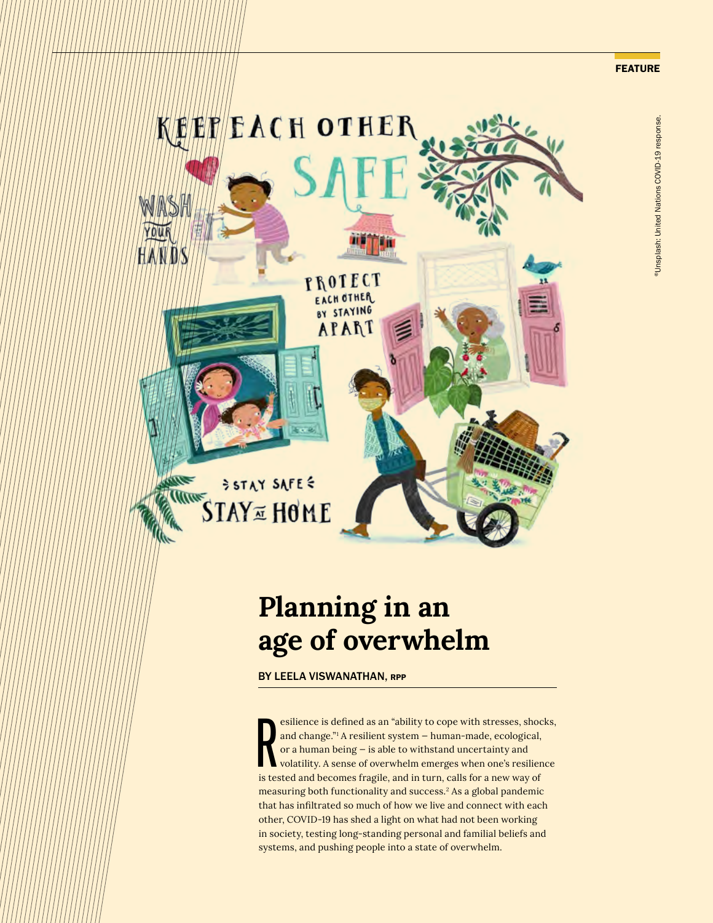

## **Planning in an age of overwhelm**

BY LEELA VISWANATHAN, RPP

esilience is defined as an "ability to cope with stresses, shoot and change."<sup>1</sup> A resilient system – human-made, ecological, or a human being – is able to withstand uncertainty and volatility. A sense of overwhelm emerges esilience is defined as an "ability to cope with stresses, shocks, and change."1 A resilient system — human-made, ecological, or a human being — is able to withstand uncertainty and volatility. A sense of overwhelm emerges when one's resilience measuring both functionality and success.<sup>2</sup> As a global pandemic that has infiltrated so much of how we live and connect with each other, COVID-19 has shed a light on what had not been working in society, testing long-standing personal and familial beliefs and systems, and pushing people into a state of overwhelm.

FEATURE